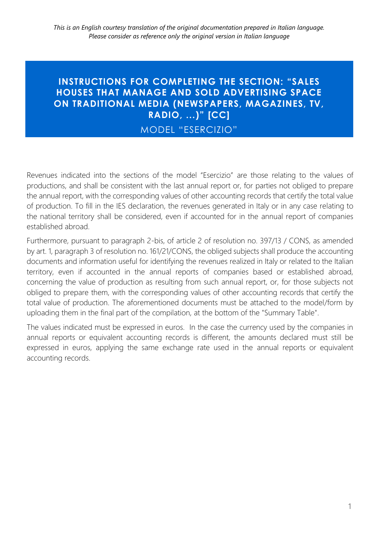## **INSTRUCTIONS FOR COMPLETING THE SECTION: "SALES HOUSES THAT MANAGE AND SOLD ADVERTISING SPACE ON TRADITIONAL MEDIA (NEWSPAPERS, MAGAZINES, TV, RADIO, ...)" [CC]**

MODEL "ESERCIZIO"

Revenues indicated into the sections of the model "Esercizio" are those relating to the values of productions, and shall be consistent with the last annual report or, for parties not obliged to prepare the annual report, with the corresponding values of other accounting records that certify the total value of production. To fill in the IES declaration, the revenues generated in Italy or in any case relating to the national territory shall be considered, even if accounted for in the annual report of companies established abroad.

Furthermore, pursuant to paragraph 2-bis, of article 2 of resolution no. 397/13 / CONS, as amended by art. 1, paragraph 3 of resolution no. 161/21/CONS, the obliged subjects shall produce the accounting documents and information useful for identifying the revenues realized in Italy or related to the Italian territory, even if accounted in the annual reports of companies based or established abroad, concerning the value of production as resulting from such annual report, or, for those subjects not obliged to prepare them, with the corresponding values of other accounting records that certify the total value of production. The aforementioned documents must be attached to the model/form by uploading them in the final part of the compilation, at the bottom of the "Summary Table".

The values indicated must be expressed in euros. In the case the currency used by the companies in annual reports or equivalent accounting records is different, the amounts declared must still be expressed in euros, applying the same exchange rate used in the annual reports or equivalent accounting records.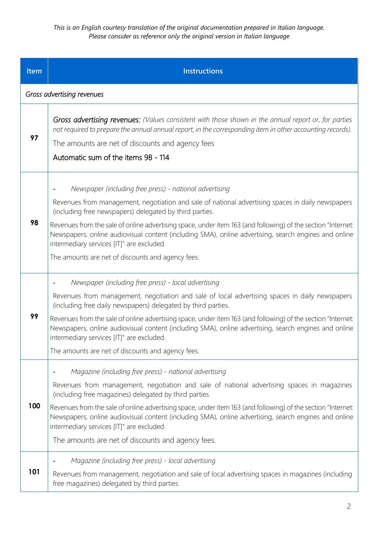*This is an English courtesy translation of the original documentation prepared in Italian language. Please consider as reference only the original version in Italian language*

| Item | <b>Instructions</b>                                                                                                                                                                                                                                                                                                                                                                                                                                                                                                                                |
|------|----------------------------------------------------------------------------------------------------------------------------------------------------------------------------------------------------------------------------------------------------------------------------------------------------------------------------------------------------------------------------------------------------------------------------------------------------------------------------------------------------------------------------------------------------|
|      | Gross advertising revenues                                                                                                                                                                                                                                                                                                                                                                                                                                                                                                                         |
| 97   | Gross advertising revenues: (Values consistent with those shown in the annual report or, for parties<br>not required to prepare the annual annual report, in the corresponding item in other accounting records).<br>The amounts are net of discounts and agency fees<br>Automatic sum of the items 98 - 114                                                                                                                                                                                                                                       |
| 98   | Newspaper (including free press) - national advertising<br>Revenues from management, negotiation and sale of national advertising spaces in daily newspapers<br>(including free newspapers) delegated by third parties.<br>Revenues from the sale of online advertising space, under item 163 (and following) of the section "Internet:<br>Newspapers, online audiovisual content (including SMA), online advertising, search engines and online<br>intermediary services [IT]" are excluded.<br>The amounts are net of discounts and agency fees. |
| 99   | Newspaper (including free press) - local advertising<br>Revenues from management, negotiation and sale of local advertising spaces in daily newspapers<br>(including free daily newspapers) delegated by third parties.<br>Revenues from the sale of online advertising space, under item 163 (and following) of the section "Internet:<br>Newspapers, online audiovisual content (including SMA), online advertising, search engines and online<br>intermediary services [IT]" are excluded.<br>The amounts are net of discounts and agency fees. |
| 100  | Magazine (including free press) - national advertising<br>Revenues from management, negotiation and sale of national advertising spaces in magazines<br>(including free magazines) delegated by third parties.<br>Revenues from the sale of online advertising space, under item 163 (and following) of the section "Internet:<br>Newspapers, online audiovisual content (including SMA), online advertising, search engines and online<br>intermediary services [IT]" are excluded.<br>The amounts are net of discounts and agency fees.          |
| 101  | Magazine (including free press) - local advertising<br>Revenues from management, negotiation and sale of local advertising spaces in magazines (including<br>free magazines) delegated by third parties.                                                                                                                                                                                                                                                                                                                                           |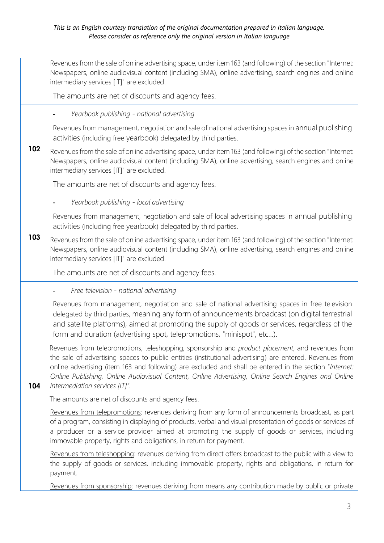|     | Revenues from the sale of online advertising space, under item 163 (and following) of the section "Internet:<br>Newspapers, online audiovisual content (including SMA), online advertising, search engines and online<br>intermediary services [IT]" are excluded.<br>The amounts are net of discounts and agency fees.                                                                                                                                          |
|-----|------------------------------------------------------------------------------------------------------------------------------------------------------------------------------------------------------------------------------------------------------------------------------------------------------------------------------------------------------------------------------------------------------------------------------------------------------------------|
|     | Yearbook publishing - national advertising                                                                                                                                                                                                                                                                                                                                                                                                                       |
| 102 | Revenues from management, negotiation and sale of national advertising spaces in annual publishing<br>activities (including free yearbook) delegated by third parties.                                                                                                                                                                                                                                                                                           |
|     | Revenues from the sale of online advertising space, under item 163 (and following) of the section "Internet:<br>Newspapers, online audiovisual content (including SMA), online advertising, search engines and online<br>intermediary services [IT]" are excluded.                                                                                                                                                                                               |
|     | The amounts are net of discounts and agency fees.                                                                                                                                                                                                                                                                                                                                                                                                                |
|     | Yearbook publishing - local advertising                                                                                                                                                                                                                                                                                                                                                                                                                          |
|     | Revenues from management, negotiation and sale of local advertising spaces in annual publishing<br>activities (including free yearbook) delegated by third parties.                                                                                                                                                                                                                                                                                              |
| 103 | Revenues from the sale of online advertising space, under item 163 (and following) of the section "Internet:<br>Newspapers, online audiovisual content (including SMA), online advertising, search engines and online<br>intermediary services [IT]" are excluded.                                                                                                                                                                                               |
|     | The amounts are net of discounts and agency fees.                                                                                                                                                                                                                                                                                                                                                                                                                |
|     | Free television - national advertising                                                                                                                                                                                                                                                                                                                                                                                                                           |
| 104 | Revenues from management, negotiation and sale of national advertising spaces in free television<br>delegated by third parties, meaning any form of announcements broadcast (on digital terrestrial<br>and satellite platforms), aimed at promoting the supply of goods or services, regardless of the<br>form and duration (advertising spot, telepromotions, "minispot", etc).                                                                                 |
|     | Revenues from telepromotions, teleshopping, sponsorship and product placement, and revenues from<br>the sale of advertising spaces to public entities (institutional advertising) are entered. Revenues from<br>online advertising (item 163 and following) are excluded and shall be entered in the section "Internet:<br>Online Publishing, Online Audiovisual Content, Online Advertising, Online Search Engines and Online<br>Intermediation services [IT]". |
|     | The amounts are net of discounts and agency fees.                                                                                                                                                                                                                                                                                                                                                                                                                |
|     | Revenues from telepromotions: revenues deriving from any form of announcements broadcast, as part<br>of a program, consisting in displaying of products, verbal and visual presentation of goods or services of<br>a producer or a service provider aimed at promoting the supply of goods or services, including<br>immovable property, rights and obligations, in return for payment.                                                                          |
|     | Revenues from teleshopping: revenues deriving from direct offers broadcast to the public with a view to<br>the supply of goods or services, including immovable property, rights and obligations, in return for<br>payment.                                                                                                                                                                                                                                      |
|     | Revenues from sponsorship: revenues deriving from means any contribution made by public or private                                                                                                                                                                                                                                                                                                                                                               |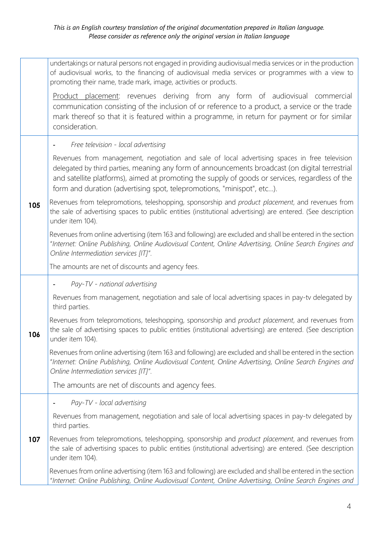|     | undertakings or natural persons not engaged in providing audiovisual media services or in the production<br>of audiovisual works, to the financing of audiovisual media services or programmes with a view to<br>promoting their name, trade mark, image, activities or products.                                                                                             |
|-----|-------------------------------------------------------------------------------------------------------------------------------------------------------------------------------------------------------------------------------------------------------------------------------------------------------------------------------------------------------------------------------|
|     | Product placement: revenues deriving from any form of audiovisual commercial<br>communication consisting of the inclusion of or reference to a product, a service or the trade<br>mark thereof so that it is featured within a programme, in return for payment or for similar<br>consideration.                                                                              |
|     | Free television - local advertising                                                                                                                                                                                                                                                                                                                                           |
| 105 | Revenues from management, negotiation and sale of local advertising spaces in free television<br>delegated by third parties, meaning any form of announcements broadcast (on digital terrestrial<br>and satellite platforms), aimed at promoting the supply of goods or services, regardless of the<br>form and duration (advertising spot, telepromotions, "minispot", etc). |
|     | Revenues from telepromotions, teleshopping, sponsorship and product placement, and revenues from<br>the sale of advertising spaces to public entities (institutional advertising) are entered. (See description<br>under item 104).                                                                                                                                           |
|     | Revenues from online advertising (item 163 and following) are excluded and shall be entered in the section<br>"Internet: Online Publishing, Online Audiovisual Content, Online Advertising, Online Search Engines and<br>Online Intermediation services [IT]".                                                                                                                |
|     | The amounts are net of discounts and agency fees.                                                                                                                                                                                                                                                                                                                             |
|     | Pay-TV - national advertising                                                                                                                                                                                                                                                                                                                                                 |
| 106 | Revenues from management, negotiation and sale of local advertising spaces in pay-tv delegated by<br>third parties.                                                                                                                                                                                                                                                           |
|     | Revenues from telepromotions, teleshopping, sponsorship and product placement, and revenues from<br>the sale of advertising spaces to public entities (institutional advertising) are entered. (See description<br>under item 104).                                                                                                                                           |
|     | Revenues from online advertising (item 163 and following) are excluded and shall be entered in the section<br>"Internet: Online Publishing, Online Audiovisual Content, Online Advertising, Online Search Engines and<br>Online Intermediation services [IT]".                                                                                                                |
|     | The amounts are net of discounts and agency fees.                                                                                                                                                                                                                                                                                                                             |
|     | Pay-TV - local advertising                                                                                                                                                                                                                                                                                                                                                    |
|     | Revenues from management, negotiation and sale of local advertising spaces in pay-tv delegated by<br>third parties.                                                                                                                                                                                                                                                           |
| 107 | Revenues from telepromotions, teleshopping, sponsorship and product placement, and revenues from<br>the sale of advertising spaces to public entities (institutional advertising) are entered. (See description<br>under item 104).                                                                                                                                           |
|     | Revenues from online advertising (item 163 and following) are excluded and shall be entered in the section<br>"Internet: Online Publishing, Online Audiovisual Content, Online Advertising, Online Search Engines and                                                                                                                                                         |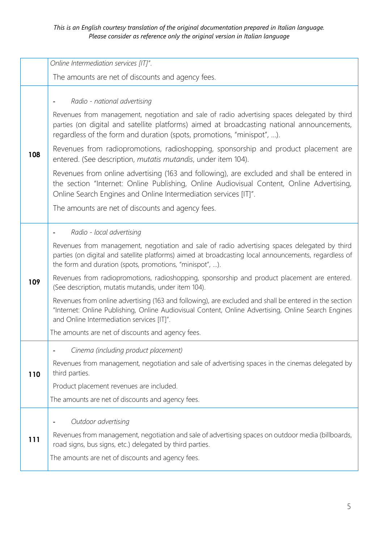|     | Online Intermediation services [IT]".                                                                                                                                                                                                                                                                                                                                                                                                                                                                                                                                                                                                                                                                                                                                            |
|-----|----------------------------------------------------------------------------------------------------------------------------------------------------------------------------------------------------------------------------------------------------------------------------------------------------------------------------------------------------------------------------------------------------------------------------------------------------------------------------------------------------------------------------------------------------------------------------------------------------------------------------------------------------------------------------------------------------------------------------------------------------------------------------------|
|     | The amounts are net of discounts and agency fees.                                                                                                                                                                                                                                                                                                                                                                                                                                                                                                                                                                                                                                                                                                                                |
| 108 | Radio - national advertising<br>Revenues from management, negotiation and sale of radio advertising spaces delegated by third<br>parties (on digital and satellite platforms) aimed at broadcasting national announcements,<br>regardless of the form and duration (spots, promotions, "minispot", ).<br>Revenues from radiopromotions, radioshopping, sponsorship and product placement are<br>entered. (See description, mutatis mutandis, under item 104).<br>Revenues from online advertising (163 and following), are excluded and shall be entered in<br>the section "Internet: Online Publishing, Online Audiovisual Content, Online Advertising,<br>Online Search Engines and Online Intermediation services [IT]".<br>The amounts are net of discounts and agency fees. |
| 109 | Radio - local advertising<br>Revenues from management, negotiation and sale of radio advertising spaces delegated by third<br>parties (on digital and satellite platforms) aimed at broadcasting local announcements, regardless of<br>the form and duration (spots, promotions, "minispot", ).<br>Revenues from radiopromotions, radioshopping, sponsorship and product placement are entered.<br>(See description, mutatis mutandis, under item 104).<br>Revenues from online advertising (163 and following), are excluded and shall be entered in the section<br>"Internet: Online Publishing, Online Audiovisual Content, Online Advertising, Online Search Engines<br>and Online Intermediation services [IT]".<br>The amounts are net of discounts and agency fees.       |
| 110 | Cinema (including product placement)<br>Revenues from management, negotiation and sale of advertising spaces in the cinemas delegated by<br>third parties.<br>Product placement revenues are included.<br>The amounts are net of discounts and agency fees.                                                                                                                                                                                                                                                                                                                                                                                                                                                                                                                      |
| 111 | Outdoor advertising<br>Revenues from management, negotiation and sale of advertising spaces on outdoor media (billboards,<br>road signs, bus signs, etc.) delegated by third parties.<br>The amounts are net of discounts and agency fees.                                                                                                                                                                                                                                                                                                                                                                                                                                                                                                                                       |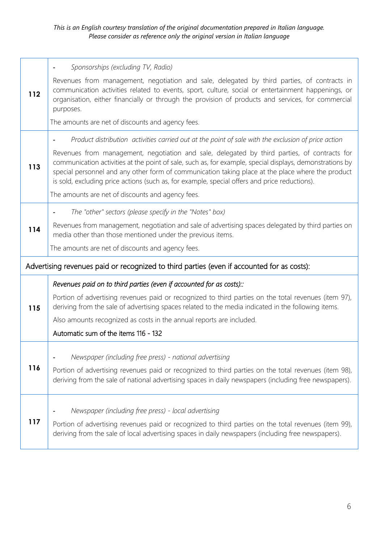|                                                                                            | Sponsorships (excluding TV, Radio)<br>٠                                                                                                                                                                                                                                                                                                                                                                                                                                                                               |
|--------------------------------------------------------------------------------------------|-----------------------------------------------------------------------------------------------------------------------------------------------------------------------------------------------------------------------------------------------------------------------------------------------------------------------------------------------------------------------------------------------------------------------------------------------------------------------------------------------------------------------|
| 112                                                                                        | Revenues from management, negotiation and sale, delegated by third parties, of contracts in<br>communication activities related to events, sport, culture, social or entertainment happenings, or<br>organisation, either financially or through the provision of products and services, for commercial<br>purposes.                                                                                                                                                                                                  |
|                                                                                            | The amounts are net of discounts and agency fees.                                                                                                                                                                                                                                                                                                                                                                                                                                                                     |
| 113                                                                                        | Product distribution activities carried out at the point of sale with the exclusion of price action<br>Revenues from management, negotiation and sale, delegated by third parties, of contracts for<br>communication activities at the point of sale, such as, for example, special displays, demonstrations by<br>special personnel and any other form of communication taking place at the place where the product<br>is sold, excluding price actions (such as, for example, special offers and price reductions). |
|                                                                                            | The amounts are net of discounts and agency fees.                                                                                                                                                                                                                                                                                                                                                                                                                                                                     |
| 114                                                                                        | The "other" sectors (please specify in the "Notes" box)                                                                                                                                                                                                                                                                                                                                                                                                                                                               |
|                                                                                            | Revenues from management, negotiation and sale of advertising spaces delegated by third parties on<br>media other than those mentioned under the previous items.                                                                                                                                                                                                                                                                                                                                                      |
|                                                                                            | The amounts are net of discounts and agency fees.                                                                                                                                                                                                                                                                                                                                                                                                                                                                     |
| Advertising revenues paid or recognized to third parties (even if accounted for as costs): |                                                                                                                                                                                                                                                                                                                                                                                                                                                                                                                       |
|                                                                                            | Revenues paid on to third parties (even if accounted for as costs).:                                                                                                                                                                                                                                                                                                                                                                                                                                                  |
| 115                                                                                        | Portion of advertising revenues paid or recognized to third parties on the total revenues (item 97),<br>deriving from the sale of advertising spaces related to the media indicated in the following items.                                                                                                                                                                                                                                                                                                           |
|                                                                                            | Also amounts recognized as costs in the annual reports are included.                                                                                                                                                                                                                                                                                                                                                                                                                                                  |
|                                                                                            | Automatic sum of the items 116 - 132                                                                                                                                                                                                                                                                                                                                                                                                                                                                                  |
|                                                                                            | Newspaper (including free press) - national advertising                                                                                                                                                                                                                                                                                                                                                                                                                                                               |
| 116                                                                                        | Portion of advertising revenues paid or recognized to third parties on the total revenues (item 98),<br>deriving from the sale of national advertising spaces in daily newspapers (including free newspapers).                                                                                                                                                                                                                                                                                                        |
|                                                                                            | Newspaper (including free press) - local advertising                                                                                                                                                                                                                                                                                                                                                                                                                                                                  |
| 117                                                                                        | Portion of advertising revenues paid or recognized to third parties on the total revenues (item 99),<br>deriving from the sale of local advertising spaces in daily newspapers (including free newspapers).                                                                                                                                                                                                                                                                                                           |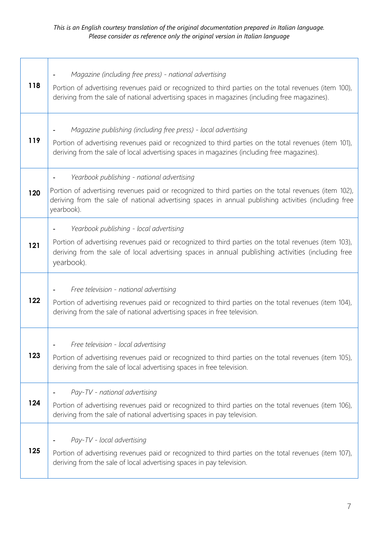## *This is an English courtesy translation of the original documentation prepared in Italian language. Please consider as reference only the original version in Italian language*

 $\overline{1}$ 

| 118 | Magazine (including free press) - national advertising<br>Portion of advertising revenues paid or recognized to third parties on the total revenues (item 100),<br>deriving from the sale of national advertising spaces in magazines (including free magazines).          |
|-----|----------------------------------------------------------------------------------------------------------------------------------------------------------------------------------------------------------------------------------------------------------------------------|
| 119 | Magazine publishing (including free press) - local advertising<br>Portion of advertising revenues paid or recognized to third parties on the total revenues (item 101),<br>deriving from the sale of local advertising spaces in magazines (including free magazines).     |
| 120 | Yearbook publishing - national advertising<br>Portion of advertising revenues paid or recognized to third parties on the total revenues (item 102),<br>deriving from the sale of national advertising spaces in annual publishing activities (including free<br>yearbook). |
| 121 | Yearbook publishing - local advertising<br>Portion of advertising revenues paid or recognized to third parties on the total revenues (item 103),<br>deriving from the sale of local advertising spaces in annual publishing activities (including free<br>yearbook).       |
| 122 | Free television - national advertising<br>Portion of advertising revenues paid or recognized to third parties on the total revenues (item 104),<br>deriving from the sale of national advertising spaces in free television.                                               |
| 123 | Free television - local advertising<br>Portion of advertising revenues paid or recognized to third parties on the total revenues (item 105),<br>deriving from the sale of local advertising spaces in free television.                                                     |
| 124 | Pay-TV - national advertising<br>Portion of advertising revenues paid or recognized to third parties on the total revenues (item 106),<br>deriving from the sale of national advertising spaces in pay television.                                                         |
| 125 | Pay-TV - local advertising<br>Portion of advertising revenues paid or recognized to third parties on the total revenues (item 107),<br>deriving from the sale of local advertising spaces in pay television.                                                               |

٦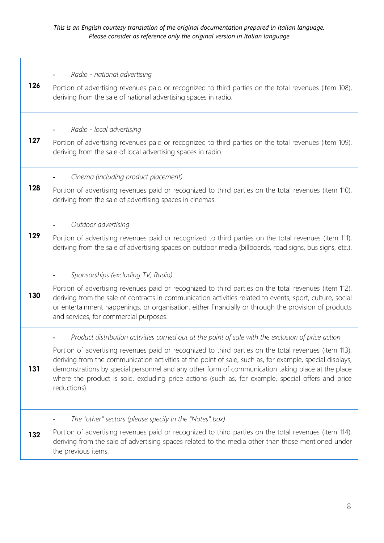$\Gamma$ 

| 126 | Radio - national advertising<br>Portion of advertising revenues paid or recognized to third parties on the total revenues (item 108),<br>deriving from the sale of national advertising spaces in radio.                                                                                                                                                                                                                                                                                                                                            |
|-----|-----------------------------------------------------------------------------------------------------------------------------------------------------------------------------------------------------------------------------------------------------------------------------------------------------------------------------------------------------------------------------------------------------------------------------------------------------------------------------------------------------------------------------------------------------|
| 127 | Radio - local advertising<br>Portion of advertising revenues paid or recognized to third parties on the total revenues (item 109),<br>deriving from the sale of local advertising spaces in radio.                                                                                                                                                                                                                                                                                                                                                  |
| 128 | Cinema (including product placement)<br>Portion of advertising revenues paid or recognized to third parties on the total revenues (item 110),<br>deriving from the sale of advertising spaces in cinemas.                                                                                                                                                                                                                                                                                                                                           |
| 129 | Outdoor advertising<br>Portion of advertising revenues paid or recognized to third parties on the total revenues (item 111),<br>deriving from the sale of advertising spaces on outdoor media (billboards, road signs, bus signs, etc.).                                                                                                                                                                                                                                                                                                            |
| 130 | Sponsorships (excluding TV, Radio)<br>Portion of advertising revenues paid or recognized to third parties on the total revenues (item 112),<br>deriving from the sale of contracts in communication activities related to events, sport, culture, social<br>or entertainment happenings, or organisation, either financially or through the provision of products<br>and services, for commercial purposes.                                                                                                                                         |
| 131 | Product distribution activities carried out at the point of sale with the exclusion of price action<br>Portion of advertising revenues paid or recognized to third parties on the total revenues (item 113),<br>deriving from the communication activities at the point of sale, such as, for example, special displays,<br>demonstrations by special personnel and any other form of communication taking place at the place<br>where the product is sold, excluding price actions (such as, for example, special offers and price<br>reductions). |
| 132 | The "other" sectors (please specify in the "Notes" box)<br>Portion of advertising revenues paid or recognized to third parties on the total revenues (item 114),<br>deriving from the sale of advertising spaces related to the media other than those mentioned under<br>the previous items.                                                                                                                                                                                                                                                       |

٦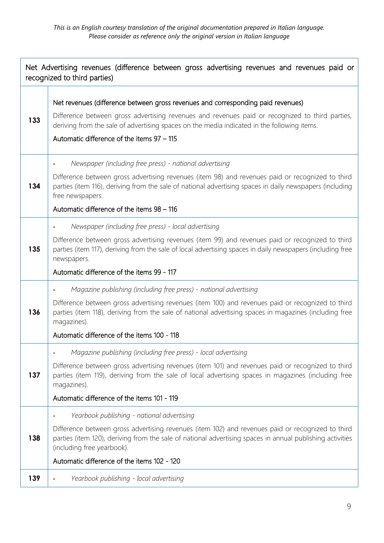| Net Advertising revenues (difference between gross advertising revenues and revenues paid or<br>recognized to third parties) |                                                                                                                                                                                                                                                                                                                                                |
|------------------------------------------------------------------------------------------------------------------------------|------------------------------------------------------------------------------------------------------------------------------------------------------------------------------------------------------------------------------------------------------------------------------------------------------------------------------------------------|
| 133                                                                                                                          | Net revenues (difference between gross revenues and corresponding paid revenues)<br>Difference between gross advertising revenues and revenues paid or recognized to third parties,<br>deriving from the sale of advertising spaces on the media indicated in the following items.<br>Automatic difference of the items 97 - 115               |
| 134                                                                                                                          | Newspaper (including free press) - national advertising<br>Difference between gross advertising revenues (item 98) and revenues paid or recognized to third<br>parties (item 116), deriving from the sale of national advertising spaces in daily newspapers (including<br>free newspapers.<br>Automatic difference of the items 98 - 116      |
| 135                                                                                                                          | Newspaper (including free press) - local advertising<br>Difference between gross advertising revenues (item 99) and revenues paid or recognized to third<br>parties (item 117), deriving from the sale of local advertising spaces in daily newspapers (including free<br>newspapers.<br>Automatic difference of the items 99 - 117            |
| 136                                                                                                                          | Magazine publishing (including free press) - national advertising<br>Difference between gross advertising revenues (item 100) and revenues paid or recognized to third<br>parties (item 118), deriving from the sale of national advertising spaces in magazines (including free<br>magazines).<br>Automatic difference of the items 100 - 118 |
| 137                                                                                                                          | Magazine publishing (including free press) - local advertising<br>Difference between gross advertising revenues (item 101) and revenues paid or recognized to third<br>parties (item 119), deriving from the sale of local advertising spaces in magazines (including free<br>magazines).<br>Automatic difference of the items 101 - 119       |
| 138                                                                                                                          | Yearbook publishing - national advertising<br>Difference between gross advertising revenues (item 102) and revenues paid or recognized to third<br>parties (item 120), deriving from the sale of national advertising spaces in annual publishing activities<br>(including free yearbook).<br>Automatic difference of the items 102 - 120      |
| 139                                                                                                                          | Yearbook publishing - local advertising                                                                                                                                                                                                                                                                                                        |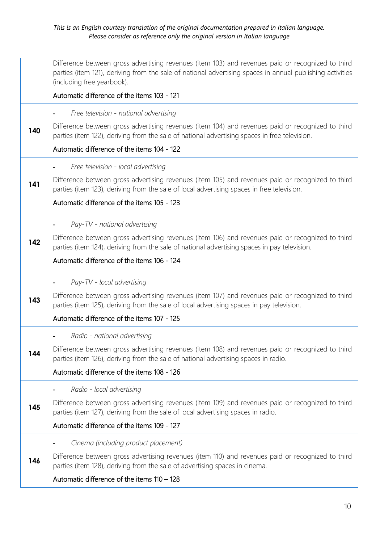|     | Difference between gross advertising revenues (item 103) and revenues paid or recognized to third<br>parties (item 121), deriving from the sale of national advertising spaces in annual publishing activities<br>(including free yearbook). |
|-----|----------------------------------------------------------------------------------------------------------------------------------------------------------------------------------------------------------------------------------------------|
|     | Automatic difference of the items 103 - 121                                                                                                                                                                                                  |
|     | Free television - national advertising                                                                                                                                                                                                       |
| 140 | Difference between gross advertising revenues (item 104) and revenues paid or recognized to third<br>parties (item 122), deriving from the sale of national advertising spaces in free television.                                           |
|     | Automatic difference of the items 104 - 122                                                                                                                                                                                                  |
|     | Free television - local advertising                                                                                                                                                                                                          |
| 141 | Difference between gross advertising revenues (item 105) and revenues paid or recognized to third<br>parties (item 123), deriving from the sale of local advertising spaces in free television.                                              |
|     | Automatic difference of the items 105 - 123                                                                                                                                                                                                  |
|     | Pay-TV - national advertising                                                                                                                                                                                                                |
| 142 | Difference between gross advertising revenues (item 106) and revenues paid or recognized to third<br>parties (item 124), deriving from the sale of national advertising spaces in pay television.                                            |
|     | Automatic difference of the items 106 - 124                                                                                                                                                                                                  |
|     | Pay-TV - local advertising                                                                                                                                                                                                                   |
| 143 | Difference between gross advertising revenues (item 107) and revenues paid or recognized to third<br>parties (item 125), deriving from the sale of local advertising spaces in pay television.                                               |
|     | Automatic difference of the items 107 - 125                                                                                                                                                                                                  |
|     | Radio - national advertising                                                                                                                                                                                                                 |
| 144 | Difference between gross advertising revenues (item 108) and revenues paid or recognized to third<br>parties (item 126), deriving from the sale of national advertising spaces in radio.                                                     |
|     | Automatic difference of the items 108 - 126                                                                                                                                                                                                  |
|     | Radio - local advertising                                                                                                                                                                                                                    |
| 145 | Difference between gross advertising revenues (item 109) and revenues paid or recognized to third<br>parties (item 127), deriving from the sale of local advertising spaces in radio.                                                        |
|     | Automatic difference of the items 109 - 127                                                                                                                                                                                                  |
|     | Cinema (including product placement)                                                                                                                                                                                                         |
| 146 | Difference between gross advertising revenues (item 110) and revenues paid or recognized to third<br>parties (item 128), deriving from the sale of advertising spaces in cinema.                                                             |
|     | Automatic difference of the items 110 - 128                                                                                                                                                                                                  |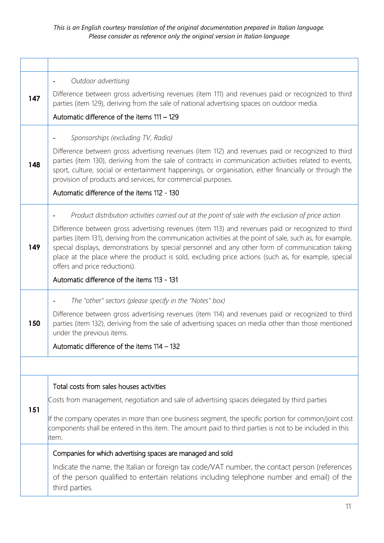|     | Outdoor advertising                                                                                                                                                                                                                                                                                                                                                                                                                                          |
|-----|--------------------------------------------------------------------------------------------------------------------------------------------------------------------------------------------------------------------------------------------------------------------------------------------------------------------------------------------------------------------------------------------------------------------------------------------------------------|
| 147 | Difference between gross advertising revenues (item 111) and revenues paid or recognized to third<br>parties (item 129), deriving from the sale of national advertising spaces on outdoor media.                                                                                                                                                                                                                                                             |
|     | Automatic difference of the items 111 - 129                                                                                                                                                                                                                                                                                                                                                                                                                  |
|     | Sponsorships (excluding TV, Radio)                                                                                                                                                                                                                                                                                                                                                                                                                           |
| 148 | Difference between gross advertising revenues (item 112) and revenues paid or recognized to third<br>parties (item 130), deriving from the sale of contracts in communication activities related to events,<br>sport, culture, social or entertainment happenings, or organisation, either financially or through the<br>provision of products and services, for commercial purposes.                                                                        |
|     | Automatic difference of the items 112 - 130                                                                                                                                                                                                                                                                                                                                                                                                                  |
|     | Product distribution activities carried out at the point of sale with the exclusion of price action                                                                                                                                                                                                                                                                                                                                                          |
| 149 | Difference between gross advertising revenues (item 113) and revenues paid or recognized to third<br>parties (item 131), deriving from the communication activities at the point of sale, such as, for example,<br>special displays, demonstrations by special personnel and any other form of communication taking<br>place at the place where the product is sold, excluding price actions (such as, for example, special<br>offers and price reductions). |
|     | Automatic difference of the items 113 - 131                                                                                                                                                                                                                                                                                                                                                                                                                  |
|     | The "other" sectors (please specify in the "Notes" box)                                                                                                                                                                                                                                                                                                                                                                                                      |
| 150 | Difference between gross advertising revenues (item 114) and revenues paid or recognized to third<br>parties (item 132), deriving from the sale of advertising spaces on media other than those mentioned<br>under the previous items.                                                                                                                                                                                                                       |
|     | Automatic difference of the items 114 - 132                                                                                                                                                                                                                                                                                                                                                                                                                  |
|     |                                                                                                                                                                                                                                                                                                                                                                                                                                                              |
|     | Total costs from sales houses activities                                                                                                                                                                                                                                                                                                                                                                                                                     |
|     | Costs from management, negotiation and sale of advertising spaces delegated by third parties                                                                                                                                                                                                                                                                                                                                                                 |
| 151 | If the company operates in more than one business segment, the specific portion for common/joint cost<br>components shall be entered in this item. The amount paid to third parties is not to be included in this<br>item.                                                                                                                                                                                                                                   |
|     | Companies for which advertising spaces are managed and sold                                                                                                                                                                                                                                                                                                                                                                                                  |
|     | Indicate the name, the Italian or foreign tax code/VAT number, the contact person (references<br>of the person qualified to entertain relations including telephone number and email) of the<br>third parties.                                                                                                                                                                                                                                               |